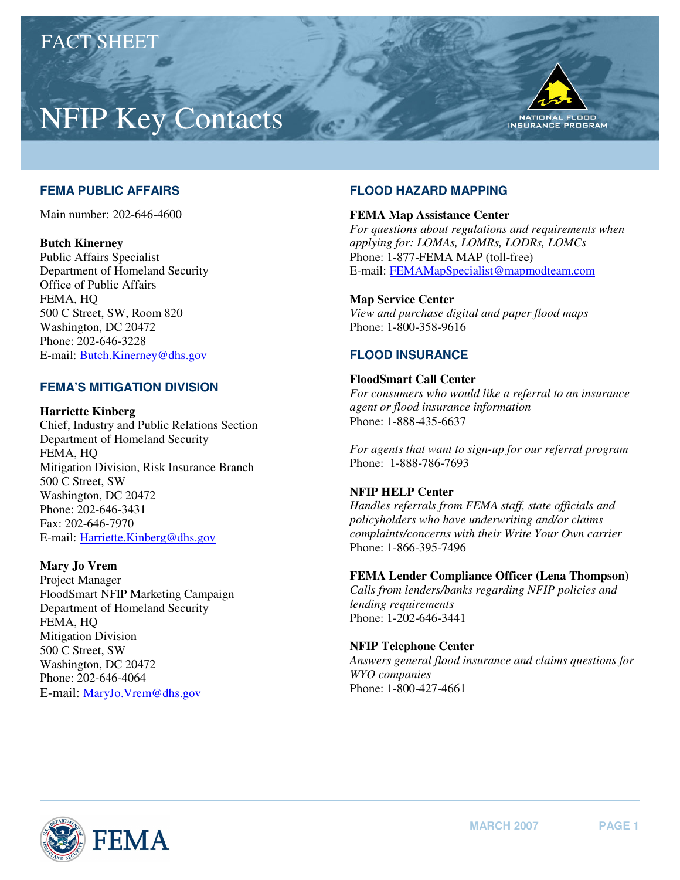# NFIP Key Contacts



# **FEMA PUBLIC AFFAIRS**

Main number: 202-646-4600

## **Butch Kinerney**

Public Affairs Specialist Department of Homeland Security Office of Public Affairs FEMA, HQ 500 C Street, SW, Room 820 Washington, DC 20472 Phone: 202-646-3228 E-mail: [Butch.Kinerney@dhs.gov](mailto:Butch.Kinerney@dhs.gov) 

# **FEMA'S MITIGATION DIVISION**

**Harriette Kinberg**  Chief, Industry and Public Relations Section Department of Homeland Security FEMA, HQ Mitigation Division, Risk Insurance Branch 500 C Street, SW Washington, DC 20472 Phone: 202-646-3431 Fax: 202-646-7970

E-mail[: Harriette.Kinberg@dhs.gov](mailto:Harriette.Kinberg@dhs.gov) 

# **Mary Jo Vrem**

Project Manager FloodSmart NFIP Marketing Campaign Department of Homeland Security FEMA, HQ Mitigation Division 500 C Street, SW Washington, DC 20472 Phone: 202-646-4064 E-mail: [MaryJo.Vrem@dhs.gov](mailto:MaryJo.Vrem@dhs.gov) 

# **FLOOD HAZARD MAPPING**

### **FEMA Map Assistance Center**

*For questions about regulations and requirements when applying for: LOMAs, LOMRs, LODRs, LOMCs*  Phone: 1-877-FEMA MAP (toll-free) E-mail: FEMAMapSpecialist@mapmodteam.com

# **Map Service Center**

*View and purchase digital and paper flood maps*  Phone: 1-800-358-9616

# **FLOOD INSURANCE**

## **FloodSmart Call Center**

*For consumers who would like a referral to an insurance agent or flood insurance information*  Phone: 1-888-435-6637

*For agents that want to sign-up for our referral program*  Phone: 1-888-786-7693

# **NFIP HELP Center**

*Handles referrals from FEMA staff, state officials and policyholders who have underwriting and/or claims complaints/concerns with their Write Your Own carrier*  Phone: 1-866-395-7496

# **FEMA Lender Compliance Officer (Lena Thompson)**

*Calls from lenders/banks regarding NFIP policies and lending requirements*  Phone: 1-202-646-3441

### **NFIP Telephone Center**

*Answers general flood insurance and claims questions for WYO companies*  Phone: 1-800-427-4661